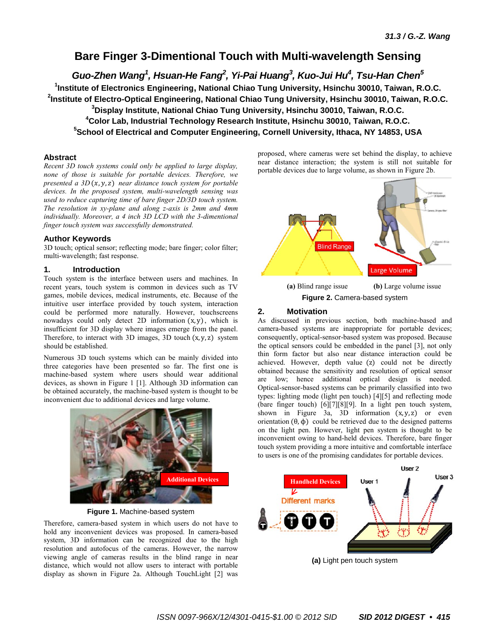# **Bare Finger 3-Dimentional Touch with Multi-wavelength Sensing**

*Guo-Zhen Wang<sup>1</sup> , Hsuan-He Fang<sup>2</sup> , Yi-Pai Huang<sup>3</sup> , Kuo-Jui Hu<sup>4</sup> , Tsu-Han Chen<sup>5</sup>*

 **Institute of Electronics Engineering, National Chiao Tung University, Hsinchu 30010, Taiwan, R.O.C. Institute of Electro-Optical Engineering, National Chiao Tung University, Hsinchu 30010, Taiwan, R.O.C. Display Institute, National Chiao Tung University, Hsinchu 30010, Taiwan, R.O.C. Color Lab, Industrial Technology Research Institute, Hsinchu 30010, Taiwan, R.O.C.** 

**5 School of Electrical and Computer Engineering, Cornell University, Ithaca, NY 14853, USA** 

## **Abstract**

*Recent 3D touch systems could only be applied to large display, none of those is suitable for portable devices. Therefore, we presented a 3D*  $(x, y, z)$  *near distance touch system for portable devices. In the proposed system, multi-wavelength sensing was used to reduce capturing time of bare finger 2D/3D touch system. The resolution in xy-plane and along z-axis is 2mm and 4mm individually. Moreover, a 4 inch 3D LCD with the 3-dimentional finger touch system was successfully demonstrated.* 

## **Author Keywords**

3D touch; optical sensor; reflecting mode; bare finger; color filter; multi-wavelength; fast response.

## **1. Introduction**

Touch system is the interface between users and machines. In recent years, touch system is common in devices such as TV games, mobile devices, medical instruments, etc. Because of the intuitive user interface provided by touch system, interaction could be performed more naturally. However, touchscreens nowadays could only detect 2D information  $(x, y)$ , which is insufficient for 3D display where images emerge from the panel. Therefore, to interact with 3D images, 3D touch  $(x, y, z)$  system should be established.

Numerous 3D touch systems which can be mainly divided into three categories have been presented so far. The first one is machine-based system where users should wear additional devices, as shown in Figure 1 [1]. Although 3D information can be obtained accurately, the machine-based system is thought to be inconvenient due to additional devices and large volume.



**Figure 1.** Machine-based system

Therefore, camera-based system in which users do not have to hold any inconvenient devices was proposed. In camera-based system, 3D information can be recognized due to the high resolution and autofocus of the cameras. However, the narrow viewing angle of cameras results in the blind range in near distance, which would not allow users to interact with portable display as shown in Figure 2a. Although TouchLight [2] was proposed, where cameras were set behind the display, to achieve near distance interaction; the system is still not suitable for portable devices due to large volume, as shown in Figure 2b.



**Figure 2.** Camera-based system

## **2. Motivation**

As discussed in previous section, both machine-based and camera-based systems are inappropriate for portable devices; consequently, optical-sensor-based system was proposed. Because the optical sensors could be embedded in the panel [3], not only thin form factor but also near distance interaction could be achieved. However, depth value (z) could not be directly obtained because the sensitivity and resolution of optical sensor are low; hence additional optical design is needed. Optical-sensor-based systems can be primarily classified into two types: lighting mode (light pen touch) [4][5] and reflecting mode (bare finger touch) [6][7][8][9]. In a light pen touch system, shown in Figure 3a, 3D information  $(x, y, z)$  or even orientation  $(\theta, \phi)$  could be retrieved due to the designed patterns on the light pen. However, light pen system is thought to be inconvenient owing to hand-held devices. Therefore, bare finger touch system providing a more intuitive and comfortable interface to users is one of the promising candidates for portable devices.

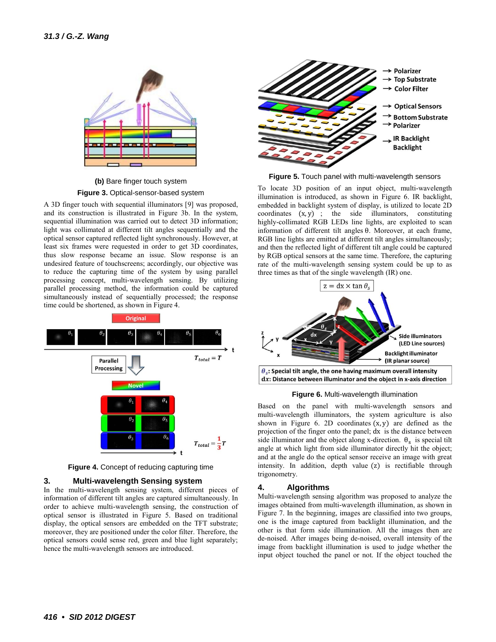

**(b)** Bare finger touch system **Figure 3.** Optical-sensor-based system

A 3D finger touch with sequential illuminators [9] was proposed, and its construction is illustrated in Figure 3b. In the system, sequential illumination was carried out to detect 3D information; light was collimated at different tilt angles sequentially and the optical sensor captured reflected light synchronously. However, at least six frames were requested in order to get 3D coordinates, thus slow response became an issue. Slow response is an undesired feature of touchscreens; accordingly, our objective was to reduce the capturing time of the system by using parallel processing concept, multi-wavelength sensing. By utilizing parallel processing method, the information could be captured simultaneously instead of sequentially processed; the response time could be shortened, as shown in Figure 4.



**Figure 4.** Concept of reducing capturing time

### **3. Multi-wavelength Sensing system**

In the multi-wavelength sensing system, different pieces of information of different tilt angles are captured simultaneously. In order to achieve multi-wavelength sensing, the construction of optical sensor is illustrated in Figure 5. Based on traditional display, the optical sensors are embedded on the TFT substrate; moreover, they are positioned under the color filter. Therefore, the optical sensors could sense red, green and blue light separately; hence the multi-wavelength sensors are introduced.



**Figure 5.** Touch panel with multi-wavelength sensors

To locate 3D position of an input object, multi-wavelength illumination is introduced, as shown in Figure 6. IR backlight, embedded in backlight system of display, is utilized to locate 2D coordinates  $(x, y)$ ; the side illuminators, constituting highly-collimated RGB LEDs line lights, are exploited to scan information of different tilt angles  $\theta$ . Moreover, at each frame, RGB line lights are emitted at different tilt angles simultaneously; and then the reflected light of different tilt angle could be captured by RGB optical sensors at the same time. Therefore, the capturing rate of the multi-wavelength sensing system could be up to as three times as that of the single wavelength (IR) one.



**Figure 6.** Multi-wavelength illumination

Based on the panel with multi-wavelength sensors and multi-wavelength illuminators, the system agriculture is also shown in Figure 6. 2D coordinates  $(x, y)$  are defined as the projection of the finger onto the panel; dx is the distance between side illuminator and the object along x-direction.  $\theta_s$  is special tilt angle at which light from side illuminator directly hit the object; and at the angle do the optical sensor receive an image with great intensity. In addition, depth value  $(z)$  is rectifiable through trigonometry.

## **4. Algorithms**

Multi-wavelength sensing algorithm was proposed to analyze the images obtained from multi-wavelength illumination, as shown in Figure 7. In the beginning, images are classified into two groups, one is the image captured from backlight illumination, and the other is that form side illumination. All the images then are de-noised. After images being de-noised, overall intensity of the image from backlight illumination is used to judge whether the input object touched the panel or not. If the object touched the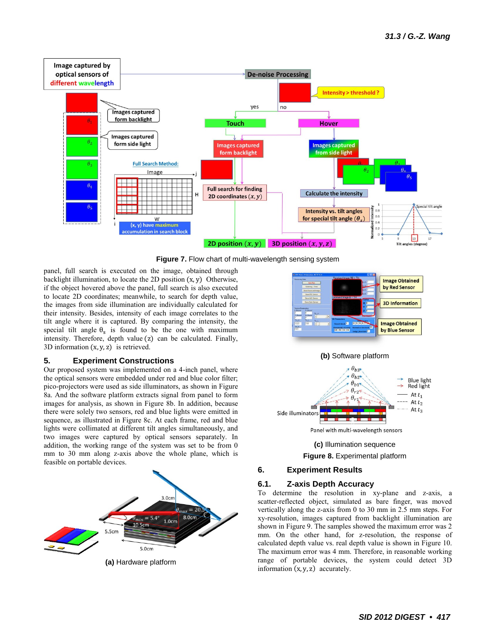

**Figure 7.** Flow chart of multi-wavelength sensing system

panel, full search is executed on the image, obtained through backlight illumination, to locate the 2D position  $(x, y)$  Otherwise, if the object hovered above the panel, full search is also executed to locate 2D coordinates; meanwhile, to search for depth value, the images from side illumination are individually calculated for their intensity. Besides, intensity of each image correlates to the tilt angle where it is captured. By comparing the intensity, the special tilt angle  $\theta_s$  is found to be the one with maximum intensity. Therefore, depth value (z) can be calculated. Finally, 3D information  $(x, y, z)$  is retrieved.

### **5. Experiment Constructions**

Our proposed system was implemented on a 4-inch panel, where the optical sensors were embedded under red and blue color filter; pico-projectors were used as side illuminators, as shown in Figure 8a. And the software platform extracts signal from panel to form images for analysis, as shown in Figure 8b. In addition, because there were solely two sensors, red and blue lights were emitted in sequence, as illustrated in Figure 8c. At each frame, red and blue lights were collimated at different tilt angles simultaneously, and two images were captured by optical sensors separately. In addition, the working range of the system was set to be from 0 mm to 30 mm along z-axis above the whole plane, which is feasible on portable devices.



**(a)** Hardware platform





**Figure 8.** Experimental platform

## **6. Experiment Results**

### **6.1. Z-axis Depth Accuracy**

To determine the resolution in xy-plane and z-axis, a scatter-reflected object, simulated as bare finger, was moved vertically along the z-axis from 0 to 30 mm in 2.5 mm steps. For xy-resolution, images captured from backlight illumination are shown in Figure 9. The samples showed the maximum error was 2 mm. On the other hand, for z-resolution, the response of calculated depth value vs. real depth value is shown in Figure 10. The maximum error was 4 mm. Therefore, in reasonable working range of portable devices, the system could detect 3D information  $(x, y, z)$  accurately.